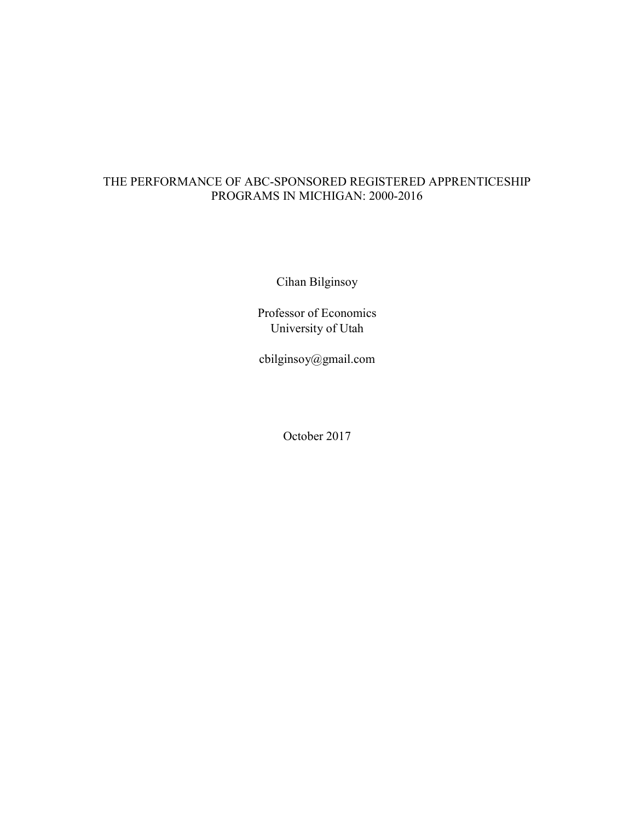# THE PERFORMANCE OF ABC-SPONSORED REGISTERED APPRENTICESHIP PROGRAMS IN MICHIGAN: 2000-2016

Cihan Bilginsoy

Professor of Economics University of Utah

cbilginsoy@gmail.com

October 2017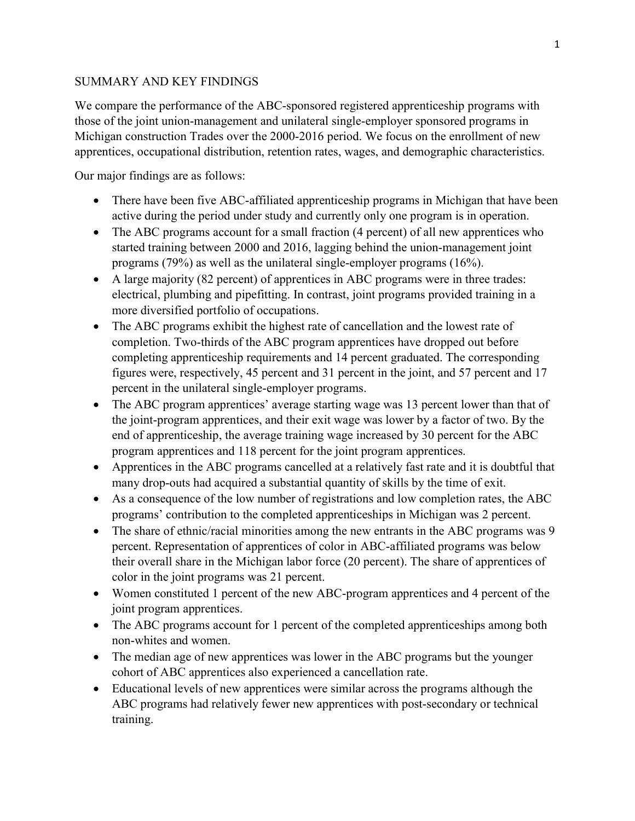# SUMMARY AND KEY FINDINGS

We compare the performance of the ABC-sponsored registered apprenticeship programs with those of the joint union-management and unilateral single-employer sponsored programs in Michigan construction Trades over the 2000-2016 period. We focus on the enrollment of new apprentices, occupational distribution, retention rates, wages, and demographic characteristics.

Our major findings are as follows:

- There have been five ABC-affiliated apprenticeship programs in Michigan that have been active during the period under study and currently only one program is in operation.
- The ABC programs account for a small fraction (4 percent) of all new apprentices who started training between 2000 and 2016, lagging behind the union-management joint programs (79%) as well as the unilateral single-employer programs (16%).
- A large majority (82 percent) of apprentices in ABC programs were in three trades: electrical, plumbing and pipefitting. In contrast, joint programs provided training in a more diversified portfolio of occupations.
- The ABC programs exhibit the highest rate of cancellation and the lowest rate of completion. Two-thirds of the ABC program apprentices have dropped out before completing apprenticeship requirements and 14 percent graduated. The corresponding figures were, respectively, 45 percent and 31 percent in the joint, and 57 percent and 17 percent in the unilateral single-employer programs.
- The ABC program apprentices' average starting wage was 13 percent lower than that of the joint-program apprentices, and their exit wage was lower by a factor of two. By the end of apprenticeship, the average training wage increased by 30 percent for the ABC program apprentices and 118 percent for the joint program apprentices.
- Apprentices in the ABC programs cancelled at a relatively fast rate and it is doubtful that many drop-outs had acquired a substantial quantity of skills by the time of exit.
- As a consequence of the low number of registrations and low completion rates, the ABC programs' contribution to the completed apprenticeships in Michigan was 2 percent.
- The share of ethnic/racial minorities among the new entrants in the ABC programs was 9 percent. Representation of apprentices of color in ABC-affiliated programs was below their overall share in the Michigan labor force (20 percent). The share of apprentices of color in the joint programs was 21 percent.
- Women constituted 1 percent of the new ABC-program apprentices and 4 percent of the joint program apprentices.
- The ABC programs account for 1 percent of the completed apprenticeships among both non-whites and women.
- The median age of new apprentices was lower in the ABC programs but the younger cohort of ABC apprentices also experienced a cancellation rate.
- Educational levels of new apprentices were similar across the programs although the ABC programs had relatively fewer new apprentices with post-secondary or technical training.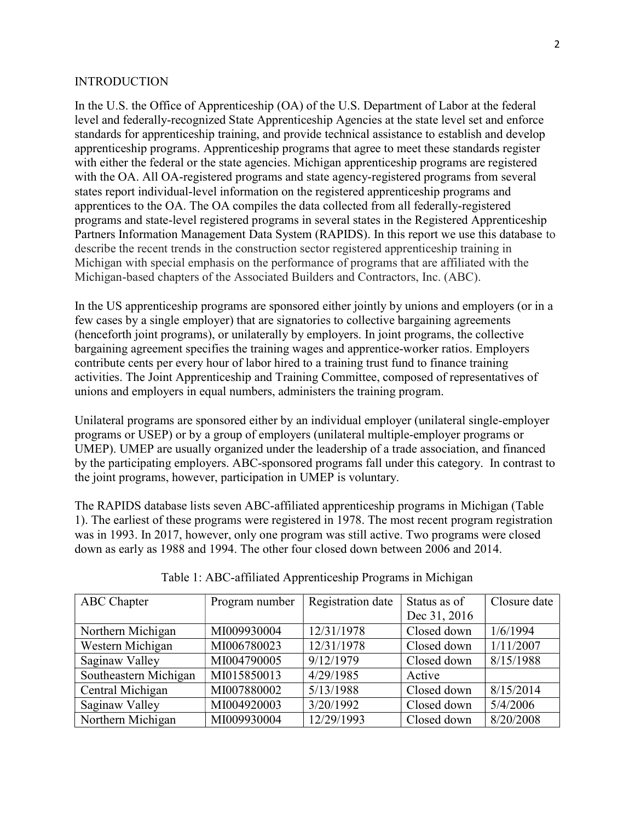#### **INTRODUCTION**

In the U.S. the Office of Apprenticeship (OA) of the U.S. Department of Labor at the federal level and federally-recognized State Apprenticeship Agencies at the state level set and enforce standards for apprenticeship training, and provide technical assistance to establish and develop apprenticeship programs. Apprenticeship programs that agree to meet these standards register with either the federal or the state agencies. Michigan apprenticeship programs are registered with the OA. All OA-registered programs and state agency-registered programs from several states report individual-level information on the registered apprenticeship programs and apprentices to the OA. The OA compiles the data collected from all federally-registered programs and state-level registered programs in several states in the Registered Apprenticeship Partners Information Management Data System (RAPIDS). In this report we use this database to describe the recent trends in the construction sector registered apprenticeship training in Michigan with special emphasis on the performance of programs that are affiliated with the Michigan-based chapters of the Associated Builders and Contractors, Inc. (ABC).

In the US apprenticeship programs are sponsored either jointly by unions and employers (or in a few cases by a single employer) that are signatories to collective bargaining agreements (henceforth joint programs), or unilaterally by employers. In joint programs, the collective bargaining agreement specifies the training wages and apprentice-worker ratios. Employers contribute cents per every hour of labor hired to a training trust fund to finance training activities. The Joint Apprenticeship and Training Committee, composed of representatives of unions and employers in equal numbers, administers the training program.

Unilateral programs are sponsored either by an individual employer (unilateral single-employer programs or USEP) or by a group of employers (unilateral multiple-employer programs or UMEP). UMEP are usually organized under the leadership of a trade association, and financed by the participating employers. ABC-sponsored programs fall under this category. In contrast to the joint programs, however, participation in UMEP is voluntary.

The RAPIDS database lists seven ABC-affiliated apprenticeship programs in Michigan (Table 1). The earliest of these programs were registered in 1978. The most recent program registration was in 1993. In 2017, however, only one program was still active. Two programs were closed down as early as 1988 and 1994. The other four closed down between 2006 and 2014.

| ABC Chapter           | Program number | Registration date | Status as of | Closure date |
|-----------------------|----------------|-------------------|--------------|--------------|
|                       |                |                   | Dec 31, 2016 |              |
| Northern Michigan     | MI009930004    | 12/31/1978        | Closed down  | 1/6/1994     |
| Western Michigan      | MI006780023    | 12/31/1978        | Closed down  | 1/11/2007    |
| Saginaw Valley        | MI004790005    | 9/12/1979         | Closed down  | 8/15/1988    |
| Southeastern Michigan | MI015850013    | 4/29/1985         | Active       |              |
| Central Michigan      | MI007880002    | 5/13/1988         | Closed down  | 8/15/2014    |
| Saginaw Valley        | MI004920003    | 3/20/1992         | Closed down  | 5/4/2006     |
| Northern Michigan     | MI009930004    | 12/29/1993        | Closed down  | 8/20/2008    |

Table 1: ABC-affiliated Apprenticeship Programs in Michigan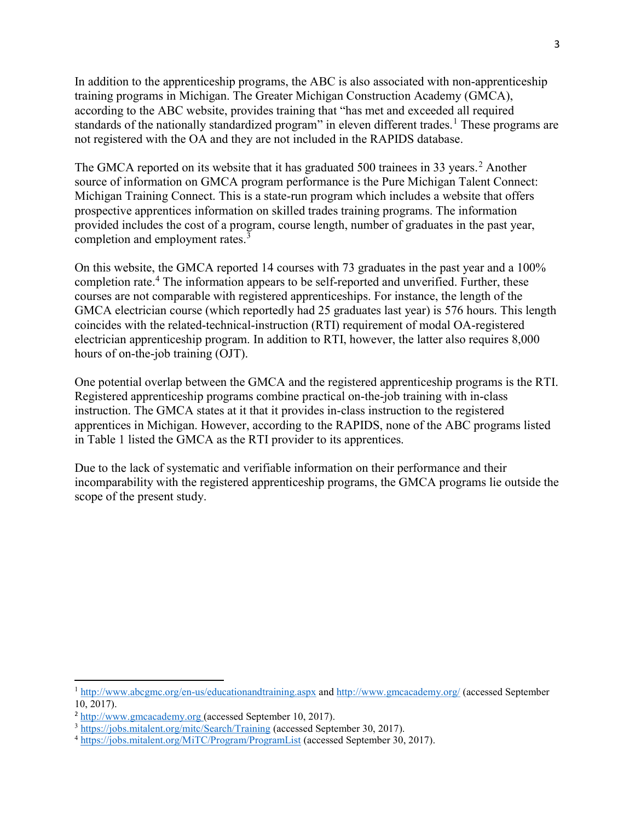In addition to the apprenticeship programs, the ABC is also associated with non-apprenticeship training programs in Michigan. The Greater Michigan Construction Academy (GMCA), according to the ABC website, provides training that "has met and exceeded all required standards of the nationally standardized program" in eleven different trades.<sup>1</sup> These programs are not registered with the OA and they are not included in the RAPIDS database.

The GMCA reported on its website that it has graduated 500 trainees in 33 years.<sup>2</sup> Another source of information on GMCA program performance is the Pure Michigan Talent Connect: Michigan Training Connect. This is a state-run program which includes a website that offers prospective apprentices information on skilled trades training programs. The information provided includes the cost of a program, course length, number of graduates in the past year, completion and employment rates.<sup>3</sup>

On this website, the GMCA reported 14 courses with 73 graduates in the past year and a 100% completion rate.<sup>4</sup> The information appears to be self-reported and unverified. Further, these courses are not comparable with registered apprenticeships. For instance, the length of the GMCA electrician course (which reportedly had 25 graduates last year) is 576 hours. This length coincides with the related-technical-instruction (RTI) requirement of modal OA-registered electrician apprenticeship program. In addition to RTI, however, the latter also requires 8,000 hours of on-the-job training (OJT).

One potential overlap between the GMCA and the registered apprenticeship programs is the RTI. Registered apprenticeship programs combine practical on-the-job training with in-class instruction. The GMCA states at it that it provides in-class instruction to the registered apprentices in Michigan. However, according to the RAPIDS, none of the ABC programs listed in Table 1 listed the GMCA as the RTI provider to its apprentices.

Due to the lack of systematic and verifiable information on their performance and their incomparability with the registered apprenticeship programs, the GMCA programs lie outside the scope of the present study.

<sup>1</sup> http://www.abcgmc.org/en-us/educationandtraining.aspx and http://www.gmcacademy.org/ (accessed September 10, 2017).

<sup>2</sup> http://www.gmcacademy.org (accessed September 10, 2017).

<sup>3</sup> https://jobs.mitalent.org/mitc/Search/Training (accessed September 30, 2017).

<sup>4</sup> https://jobs.mitalent.org/MiTC/Program/ProgramList (accessed September 30, 2017).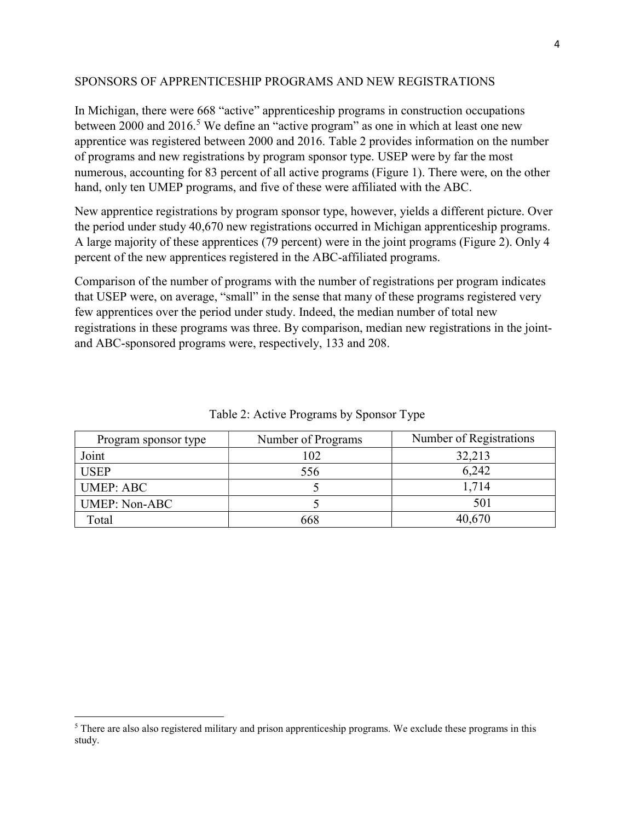#### SPONSORS OF APPRENTICESHIP PROGRAMS AND NEW REGISTRATIONS

In Michigan, there were 668 "active" apprenticeship programs in construction occupations between 2000 and 2016.<sup>5</sup> We define an "active program" as one in which at least one new apprentice was registered between 2000 and 2016. Table 2 provides information on the number of programs and new registrations by program sponsor type. USEP were by far the most numerous, accounting for 83 percent of all active programs (Figure 1). There were, on the other hand, only ten UMEP programs, and five of these were affiliated with the ABC.

New apprentice registrations by program sponsor type, however, yields a different picture. Over the period under study 40,670 new registrations occurred in Michigan apprenticeship programs. A large majority of these apprentices (79 percent) were in the joint programs (Figure 2). Only 4 percent of the new apprentices registered in the ABC-affiliated programs.

Comparison of the number of programs with the number of registrations per program indicates that USEP were, on average, "small" in the sense that many of these programs registered very few apprentices over the period under study. Indeed, the median number of total new registrations in these programs was three. By comparison, median new registrations in the jointand ABC-sponsored programs were, respectively, 133 and 208.

| Program sponsor type | Number of Programs | Number of Registrations |
|----------------------|--------------------|-------------------------|
| Joint                | 102                | 32,213                  |
| <b>USEP</b>          | 556                | 6,242                   |
| <b>UMEP: ABC</b>     |                    | 1,714                   |
| <b>UMEP: Non-ABC</b> |                    | 501                     |
| Total                | 668                | 40,670                  |

Table 2: Active Programs by Sponsor Type

 $<sup>5</sup>$  There are also also registered military and prison apprenticeship programs. We exclude these programs in this</sup> study.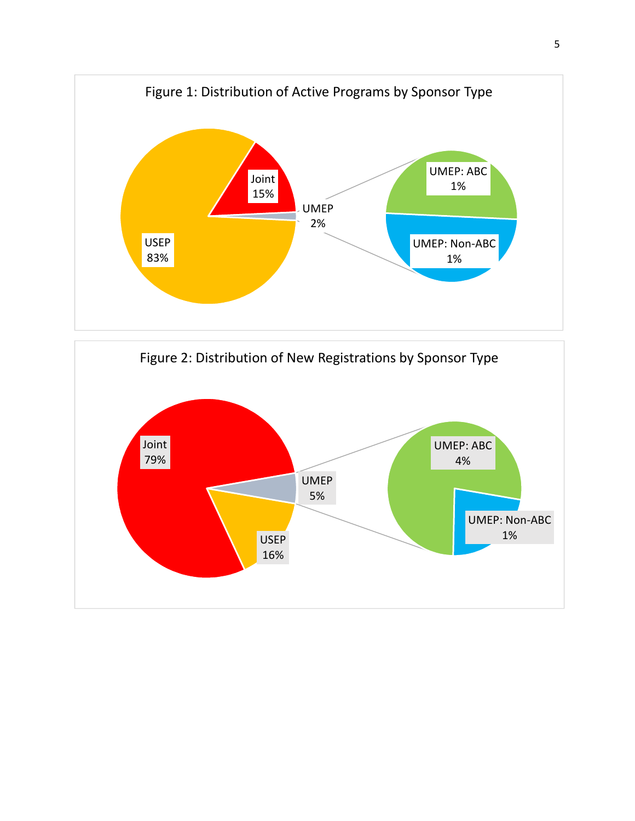

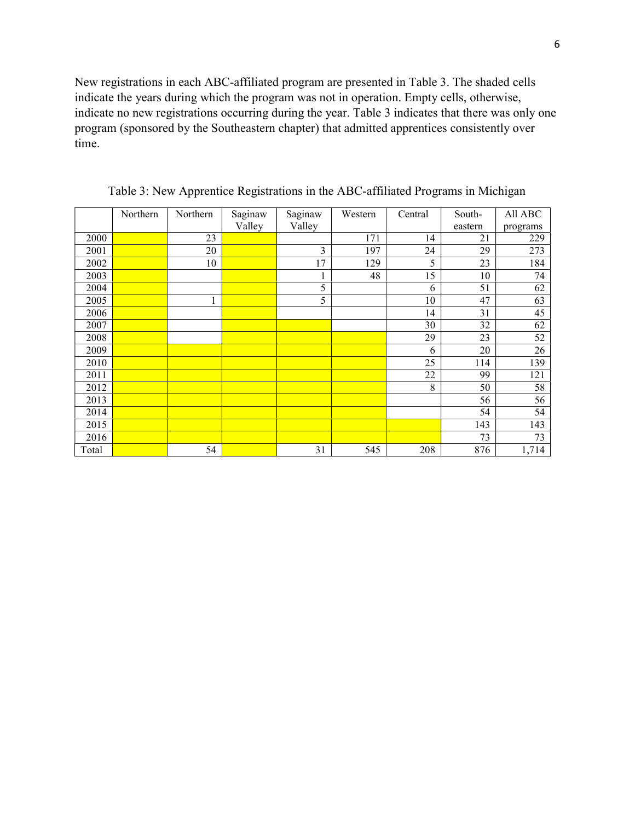New registrations in each ABC-affiliated program are presented in Table 3. The shaded cells indicate the years during which the program was not in operation. Empty cells, otherwise, indicate no new registrations occurring during the year. Table 3 indicates that there was only one program (sponsored by the Southeastern chapter) that admitted apprentices consistently over time.

|       | Northern | Northern | Saginaw | Saginaw | Western | Central | South-  | All ABC  |
|-------|----------|----------|---------|---------|---------|---------|---------|----------|
|       |          |          | Valley  | Valley  |         |         | eastern | programs |
| 2000  |          | 23       |         |         | 171     | 14      | 21      | 229      |
| 2001  |          | 20       |         | 3       | 197     | 24      | 29      | 273      |
| 2002  |          | 10       |         | 17      | 129     | 5       | 23      | 184      |
| 2003  |          |          |         |         | 48      | 15      | 10      | 74       |
| 2004  |          |          |         | 5       |         | 6       | 51      | 62       |
| 2005  |          | 1        |         | 5       |         | 10      | 47      | 63       |
| 2006  |          |          |         |         |         | 14      | 31      | 45       |
| 2007  |          |          |         |         |         | 30      | 32      | 62       |
| 2008  |          |          |         |         |         | 29      | 23      | 52       |
| 2009  |          |          |         |         |         | 6       | 20      | 26       |
| 2010  |          |          |         |         |         | 25      | 114     | 139      |
| 2011  |          |          |         |         |         | 22      | 99      | 121      |
| 2012  |          |          |         |         |         | 8       | 50      | 58       |
| 2013  |          |          |         |         |         |         | 56      | 56       |
| 2014  |          |          |         |         |         |         | 54      | 54       |
| 2015  |          |          |         |         |         |         | 143     | 143      |
| 2016  |          |          |         |         |         |         | 73      | 73       |
| Total |          | 54       |         | 31      | 545     | 208     | 876     | 1,714    |

Table 3: New Apprentice Registrations in the ABC-affiliated Programs in Michigan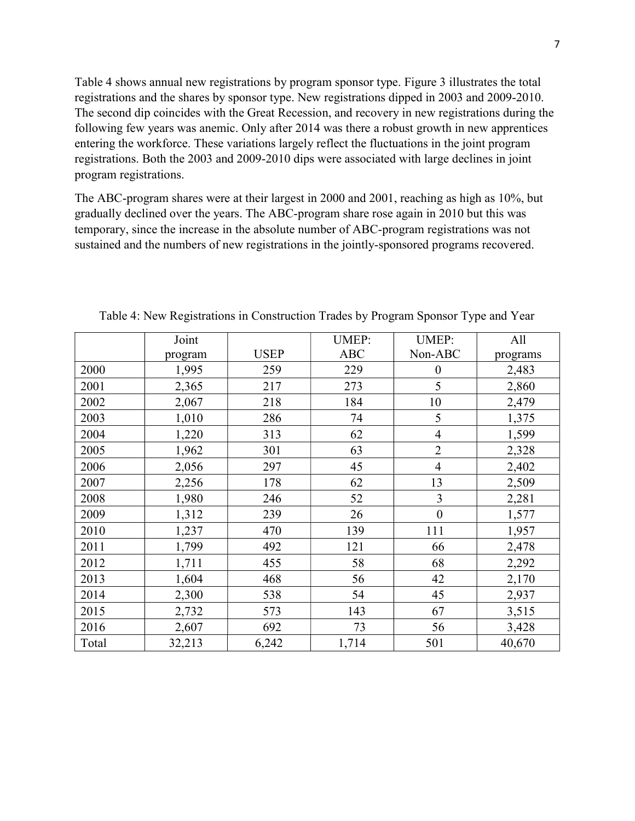Table 4 shows annual new registrations by program sponsor type. Figure 3 illustrates the total registrations and the shares by sponsor type. New registrations dipped in 2003 and 2009-2010. The second dip coincides with the Great Recession, and recovery in new registrations during the following few years was anemic. Only after 2014 was there a robust growth in new apprentices entering the workforce. These variations largely reflect the fluctuations in the joint program registrations. Both the 2003 and 2009-2010 dips were associated with large declines in joint program registrations.

The ABC-program shares were at their largest in 2000 and 2001, reaching as high as 10%, but gradually declined over the years. The ABC-program share rose again in 2010 but this was temporary, since the increase in the absolute number of ABC-program registrations was not sustained and the numbers of new registrations in the jointly-sponsored programs recovered.

|       | Joint   |             | <b>UMEP:</b> | <b>UMEP:</b>     | All      |
|-------|---------|-------------|--------------|------------------|----------|
|       | program | <b>USEP</b> | <b>ABC</b>   | Non-ABC          | programs |
| 2000  | 1,995   | 259         | 229          | $\boldsymbol{0}$ | 2,483    |
| 2001  | 2,365   | 217         | 273          | 5                | 2,860    |
| 2002  | 2,067   | 218         | 184          | 10               | 2,479    |
| 2003  | 1,010   | 286         | 74           | 5                | 1,375    |
| 2004  | 1,220   | 313         | 62           | $\overline{4}$   | 1,599    |
| 2005  | 1,962   | 301         | 63           | $\overline{2}$   | 2,328    |
| 2006  | 2,056   | 297         | 45           | $\overline{4}$   | 2,402    |
| 2007  | 2,256   | 178         | 62           | 13               | 2,509    |
| 2008  | 1,980   | 246         | 52           | 3                | 2,281    |
| 2009  | 1,312   | 239         | 26           | $\boldsymbol{0}$ | 1,577    |
| 2010  | 1,237   | 470         | 139          | 111              | 1,957    |
| 2011  | 1,799   | 492         | 121          | 66               | 2,478    |
| 2012  | 1,711   | 455         | 58           | 68               | 2,292    |
| 2013  | 1,604   | 468         | 56           | 42               | 2,170    |
| 2014  | 2,300   | 538         | 54           | 45               | 2,937    |
| 2015  | 2,732   | 573         | 143          | 67               | 3,515    |
| 2016  | 2,607   | 692         | 73           | 56               | 3,428    |
| Total | 32,213  | 6,242       | 1,714        | 501              | 40,670   |

Table 4: New Registrations in Construction Trades by Program Sponsor Type and Year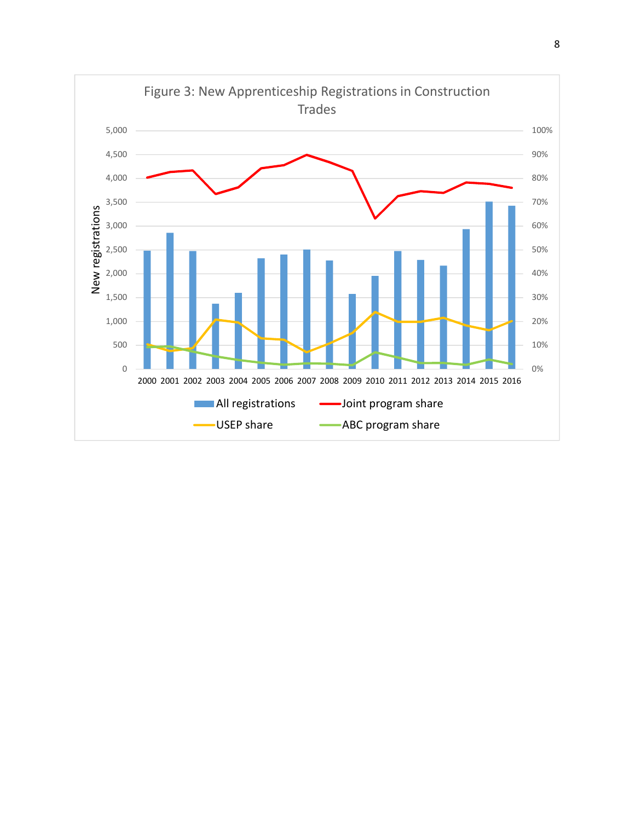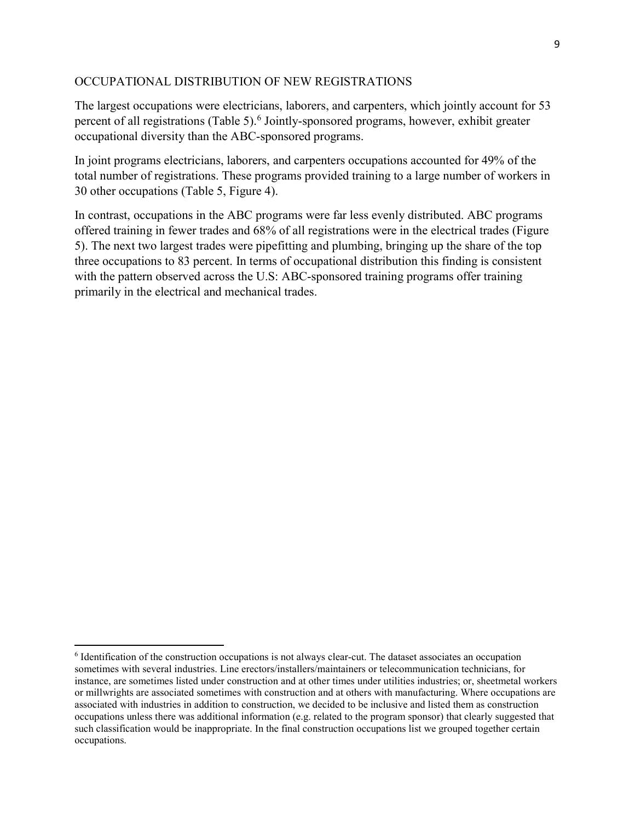## OCCUPATIONAL DISTRIBUTION OF NEW REGISTRATIONS

The largest occupations were electricians, laborers, and carpenters, which jointly account for 53 percent of all registrations (Table 5).<sup>6</sup> Jointly-sponsored programs, however, exhibit greater occupational diversity than the ABC-sponsored programs.

In joint programs electricians, laborers, and carpenters occupations accounted for 49% of the total number of registrations. These programs provided training to a large number of workers in 30 other occupations (Table 5, Figure 4).

In contrast, occupations in the ABC programs were far less evenly distributed. ABC programs offered training in fewer trades and 68% of all registrations were in the electrical trades (Figure 5). The next two largest trades were pipefitting and plumbing, bringing up the share of the top three occupations to 83 percent. In terms of occupational distribution this finding is consistent with the pattern observed across the U.S: ABC-sponsored training programs offer training primarily in the electrical and mechanical trades.

 $\overline{a}$ 

<sup>&</sup>lt;sup>6</sup> Identification of the construction occupations is not always clear-cut. The dataset associates an occupation sometimes with several industries. Line erectors/installers/maintainers or telecommunication technicians, for instance, are sometimes listed under construction and at other times under utilities industries; or, sheetmetal workers or millwrights are associated sometimes with construction and at others with manufacturing. Where occupations are associated with industries in addition to construction, we decided to be inclusive and listed them as construction occupations unless there was additional information (e.g. related to the program sponsor) that clearly suggested that such classification would be inappropriate. In the final construction occupations list we grouped together certain occupations.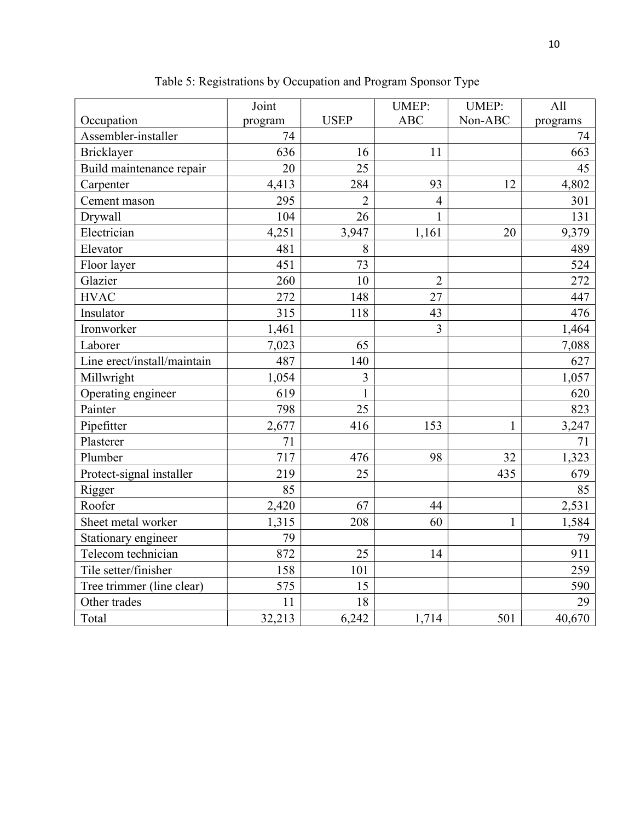|                             | Joint   |                | <b>UMEP:</b>   | <b>UMEP:</b> | All      |
|-----------------------------|---------|----------------|----------------|--------------|----------|
| Occupation                  | program | <b>USEP</b>    | <b>ABC</b>     | Non-ABC      | programs |
| Assembler-installer         | 74      |                |                |              | 74       |
| Bricklayer                  | 636     | 16             | 11             |              | 663      |
| Build maintenance repair    | 20      | 25             |                |              | 45       |
| Carpenter                   | 4,413   | 284            | 93             | 12           | 4,802    |
| Cement mason                | 295     | $\overline{2}$ | $\overline{4}$ |              | 301      |
| Drywall                     | 104     | 26             | $\mathbf{1}$   |              | 131      |
| Electrician                 | 4,251   | 3,947          | 1,161          | 20           | 9,379    |
| Elevator                    | 481     | 8              |                |              | 489      |
| Floor layer                 | 451     | 73             |                |              | 524      |
| Glazier                     | 260     | 10             | $\overline{2}$ |              | 272      |
| <b>HVAC</b>                 | 272     | 148            | 27             |              | 447      |
| Insulator                   | 315     | 118            | 43             |              | 476      |
| Ironworker                  | 1,461   |                | $\overline{3}$ |              | 1,464    |
| Laborer                     | 7,023   | 65             |                |              | 7,088    |
| Line erect/install/maintain | 487     | 140            |                |              | 627      |
| Millwright                  | 1,054   | $\overline{3}$ |                |              | 1,057    |
| Operating engineer          | 619     | 1              |                |              | 620      |
| Painter                     | 798     | 25             |                |              | 823      |
| Pipefitter                  | 2,677   | 416            | 153            | $\mathbf{1}$ | 3,247    |
| Plasterer                   | 71      |                |                |              | 71       |
| Plumber                     | 717     | 476            | 98             | 32           | 1,323    |
| Protect-signal installer    | 219     | 25             |                | 435          | 679      |
| Rigger                      | 85      |                |                |              | 85       |
| Roofer                      | 2,420   | 67             | 44             |              | 2,531    |
| Sheet metal worker          | 1,315   | 208            | 60             | $\mathbf{1}$ | 1,584    |
| Stationary engineer         | 79      |                |                |              | 79       |
| Telecom technician          | 872     | 25             | 14             |              | 911      |
| Tile setter/finisher        | 158     | 101            |                |              | 259      |
| Tree trimmer (line clear)   | 575     | 15             |                |              | 590      |
| Other trades                | 11      | 18             |                |              | 29       |
| Total                       | 32,213  | 6,242          | 1,714          | 501          | 40,670   |

Table 5: Registrations by Occupation and Program Sponsor Type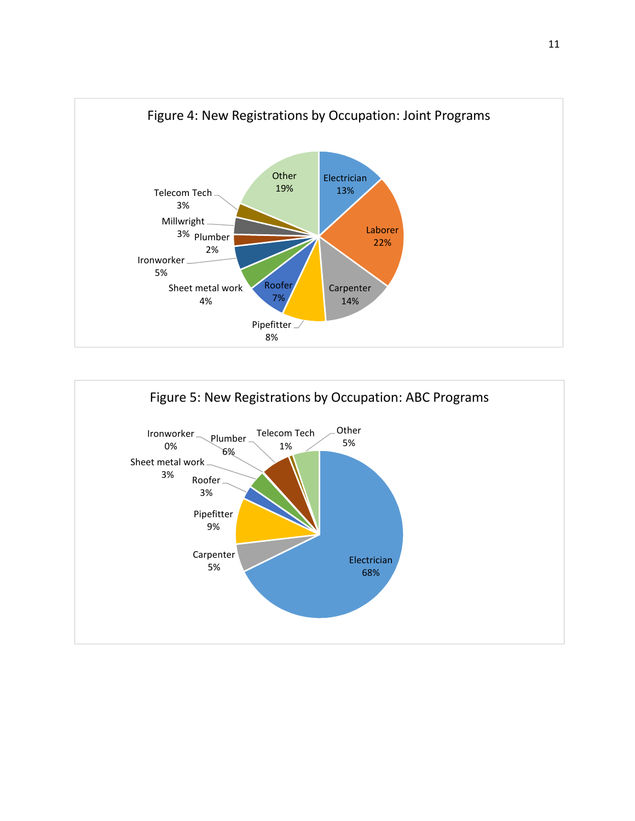

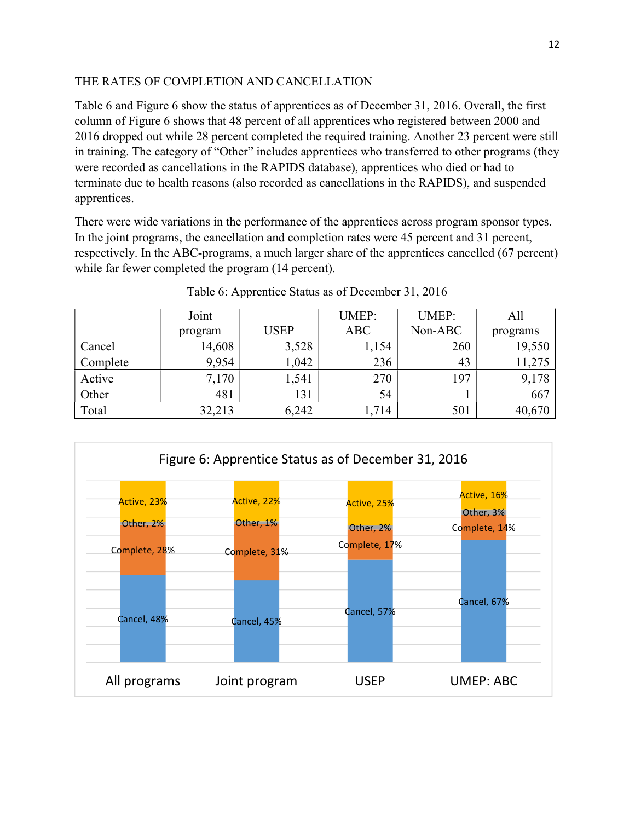# THE RATES OF COMPLETION AND CANCELLATION

Table 6 and Figure 6 show the status of apprentices as of December 31, 2016. Overall, the first column of Figure 6 shows that 48 percent of all apprentices who registered between 2000 and 2016 dropped out while 28 percent completed the required training. Another 23 percent were still in training. The category of "Other" includes apprentices who transferred to other programs (they were recorded as cancellations in the RAPIDS database), apprentices who died or had to terminate due to health reasons (also recorded as cancellations in the RAPIDS), and suspended apprentices.

There were wide variations in the performance of the apprentices across program sponsor types. In the joint programs, the cancellation and completion rates were 45 percent and 31 percent, respectively. In the ABC-programs, a much larger share of the apprentices cancelled (67 percent) while far fewer completed the program (14 percent).

|          | Joint   |             | <b>UMEP:</b> | <b>UMEP:</b> | All      |
|----------|---------|-------------|--------------|--------------|----------|
|          | program | <b>USEP</b> | <b>ABC</b>   | Non-ABC      | programs |
| Cancel   | 14,608  | 3,528       | 1,154        | 260          | 19,550   |
| Complete | 9,954   | 1,042       | 236          | 43           | 11,275   |
| Active   | 7,170   | 1,541       | 270          | 197          | 9,178    |
| Other    | 481     | 131         | 54           |              | 667      |
| Total    | 32,213  | 6,242       | 1,714        | 501          | 40,670   |

Table 6: Apprentice Status as of December 31, 2016

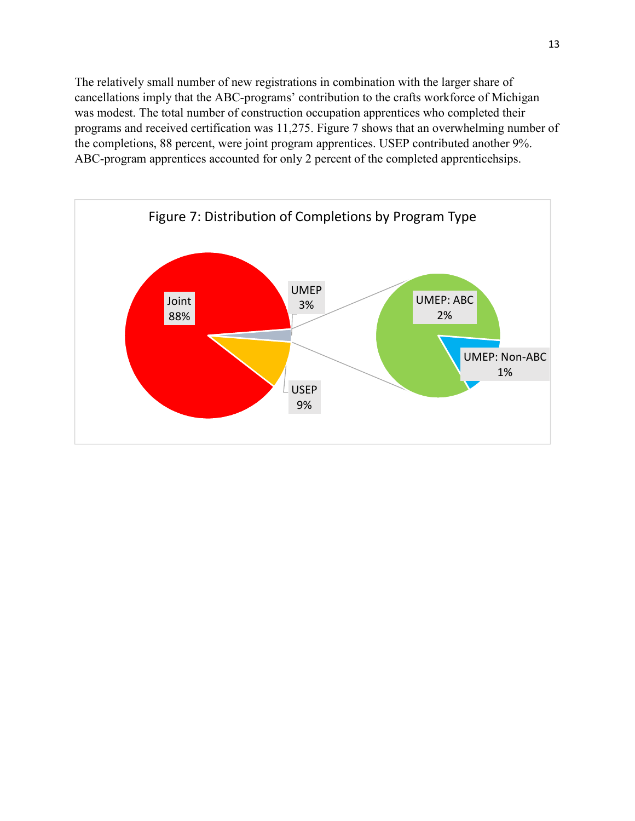The relatively small number of new registrations in combination with the larger share of cancellations imply that the ABC-programs' contribution to the crafts workforce of Michigan was modest. The total number of construction occupation apprentices who completed their programs and received certification was 11,275. Figure 7 shows that an overwhelming number of the completions, 88 percent, were joint program apprentices. USEP contributed another 9%. ABC-program apprentices accounted for only 2 percent of the completed apprenticehsips.

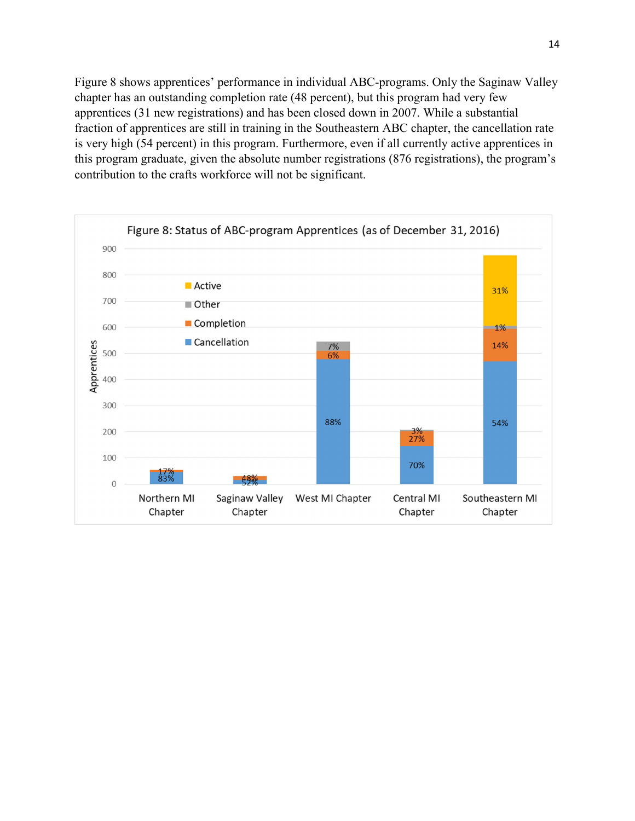Figure 8 shows apprentices' performance in individual ABC-programs. Only the Saginaw Valley chapter has an outstanding completion rate (48 percent), but this program had very few apprentices (31 new registrations) and has been closed down in 2007. While a substantial fraction of apprentices are still in training in the Southeastern ABC chapter, the cancellation rate is very high (54 percent) in this program. Furthermore, even if all currently active apprentices in this program graduate, given the absolute number registrations (876 registrations), the program's contribution to the crafts workforce will not be significant.

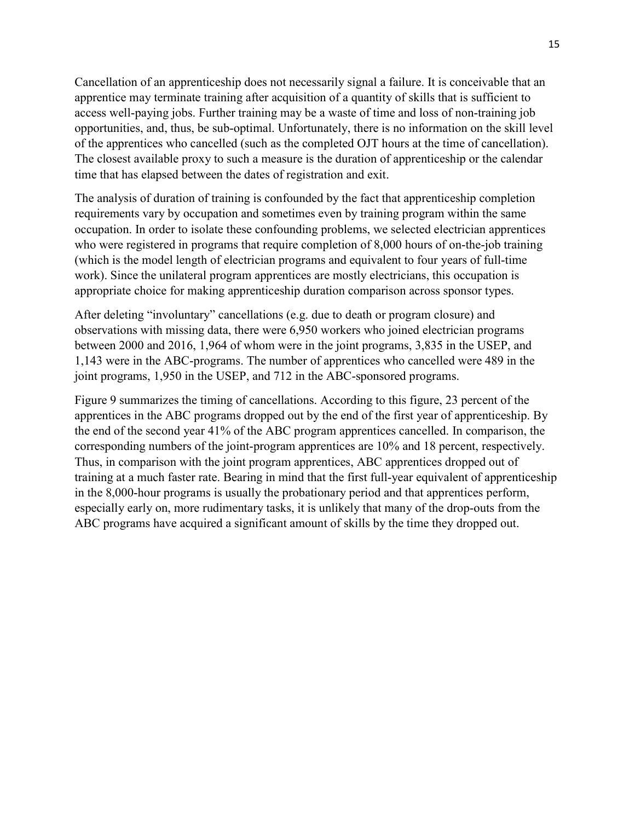Cancellation of an apprenticeship does not necessarily signal a failure. It is conceivable that an apprentice may terminate training after acquisition of a quantity of skills that is sufficient to access well-paying jobs. Further training may be a waste of time and loss of non-training job opportunities, and, thus, be sub-optimal. Unfortunately, there is no information on the skill level of the apprentices who cancelled (such as the completed OJT hours at the time of cancellation). The closest available proxy to such a measure is the duration of apprenticeship or the calendar time that has elapsed between the dates of registration and exit.

The analysis of duration of training is confounded by the fact that apprenticeship completion requirements vary by occupation and sometimes even by training program within the same occupation. In order to isolate these confounding problems, we selected electrician apprentices who were registered in programs that require completion of 8,000 hours of on-the-job training (which is the model length of electrician programs and equivalent to four years of full-time work). Since the unilateral program apprentices are mostly electricians, this occupation is appropriate choice for making apprenticeship duration comparison across sponsor types.

After deleting "involuntary" cancellations (e.g. due to death or program closure) and observations with missing data, there were 6,950 workers who joined electrician programs between 2000 and 2016, 1,964 of whom were in the joint programs, 3,835 in the USEP, and 1,143 were in the ABC-programs. The number of apprentices who cancelled were 489 in the joint programs, 1,950 in the USEP, and 712 in the ABC-sponsored programs.

Figure 9 summarizes the timing of cancellations. According to this figure, 23 percent of the apprentices in the ABC programs dropped out by the end of the first year of apprenticeship. By the end of the second year 41% of the ABC program apprentices cancelled. In comparison, the corresponding numbers of the joint-program apprentices are 10% and 18 percent, respectively. Thus, in comparison with the joint program apprentices, ABC apprentices dropped out of training at a much faster rate. Bearing in mind that the first full-year equivalent of apprenticeship in the 8,000-hour programs is usually the probationary period and that apprentices perform, especially early on, more rudimentary tasks, it is unlikely that many of the drop-outs from the ABC programs have acquired a significant amount of skills by the time they dropped out.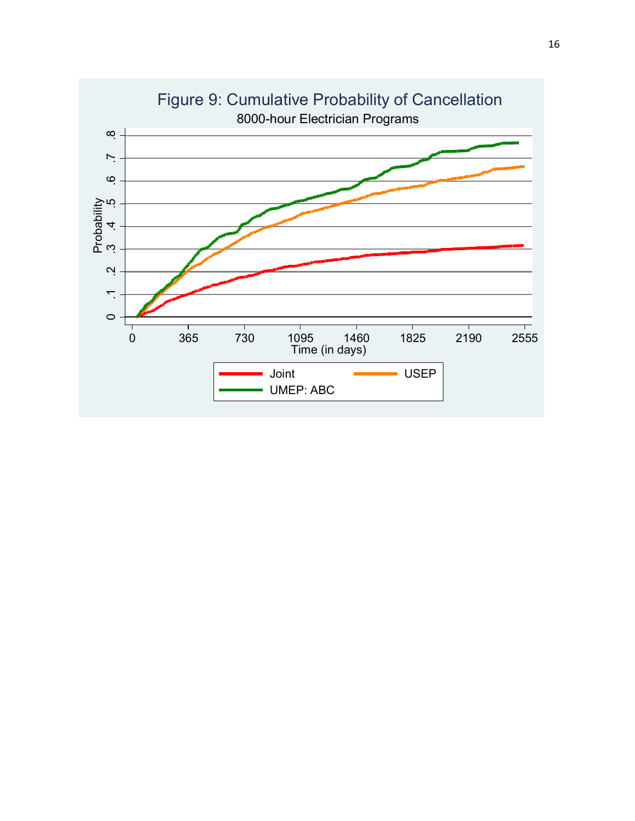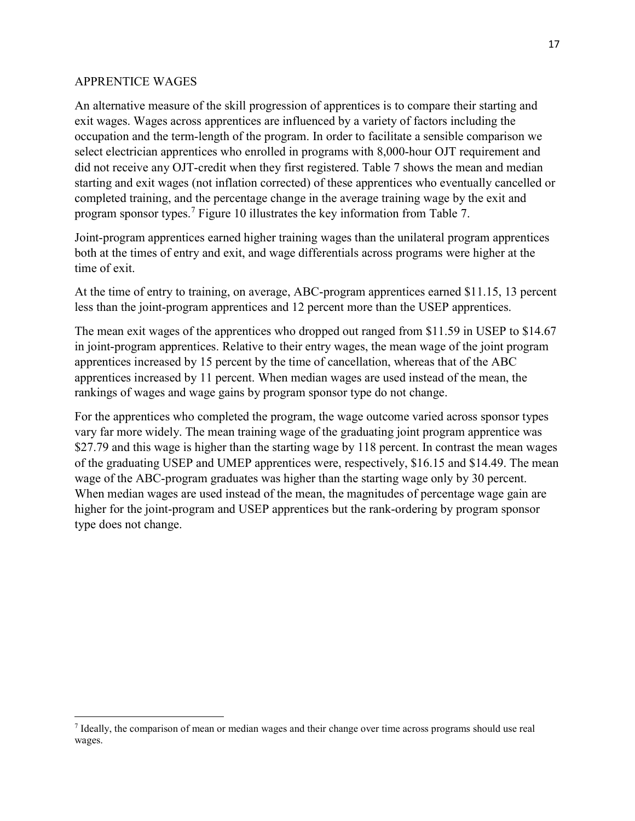## APPRENTICE WAGES

An alternative measure of the skill progression of apprentices is to compare their starting and exit wages. Wages across apprentices are influenced by a variety of factors including the occupation and the term-length of the program. In order to facilitate a sensible comparison we select electrician apprentices who enrolled in programs with 8,000-hour OJT requirement and did not receive any OJT-credit when they first registered. Table 7 shows the mean and median starting and exit wages (not inflation corrected) of these apprentices who eventually cancelled or completed training, and the percentage change in the average training wage by the exit and program sponsor types.<sup>7</sup> Figure 10 illustrates the key information from Table 7.

Joint-program apprentices earned higher training wages than the unilateral program apprentices both at the times of entry and exit, and wage differentials across programs were higher at the time of exit.

At the time of entry to training, on average, ABC-program apprentices earned \$11.15, 13 percent less than the joint-program apprentices and 12 percent more than the USEP apprentices.

The mean exit wages of the apprentices who dropped out ranged from \$11.59 in USEP to \$14.67 in joint-program apprentices. Relative to their entry wages, the mean wage of the joint program apprentices increased by 15 percent by the time of cancellation, whereas that of the ABC apprentices increased by 11 percent. When median wages are used instead of the mean, the rankings of wages and wage gains by program sponsor type do not change.

For the apprentices who completed the program, the wage outcome varied across sponsor types vary far more widely. The mean training wage of the graduating joint program apprentice was \$27.79 and this wage is higher than the starting wage by 118 percent. In contrast the mean wages of the graduating USEP and UMEP apprentices were, respectively, \$16.15 and \$14.49. The mean wage of the ABC-program graduates was higher than the starting wage only by 30 percent. When median wages are used instead of the mean, the magnitudes of percentage wage gain are higher for the joint-program and USEP apprentices but the rank-ordering by program sponsor type does not change.

<sup>&</sup>lt;sup>7</sup> Ideally, the comparison of mean or median wages and their change over time across programs should use real wages.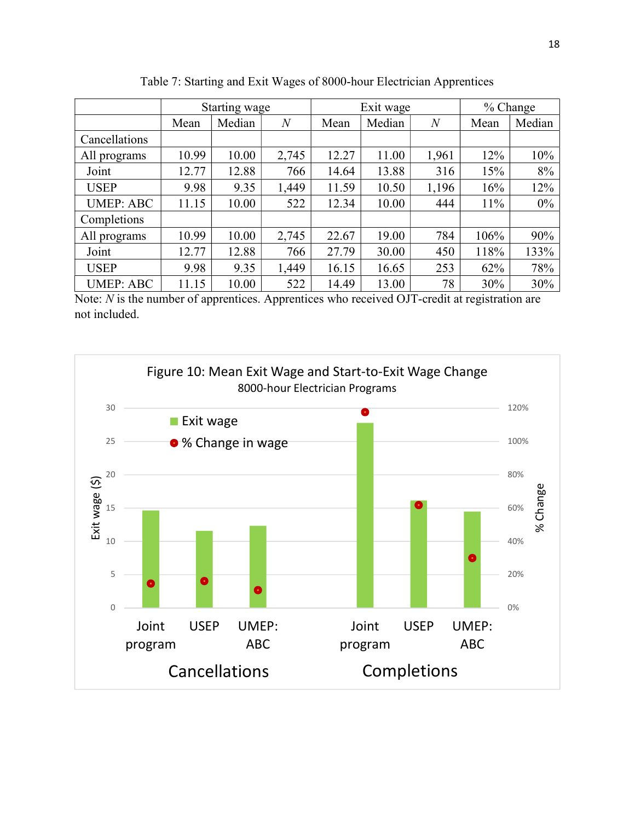|                  | Starting wage |        |                | Exit wage |        |                | % Change |        |
|------------------|---------------|--------|----------------|-----------|--------|----------------|----------|--------|
|                  | Mean          | Median | $\overline{N}$ | Mean      | Median | $\overline{N}$ | Mean     | Median |
| Cancellations    |               |        |                |           |        |                |          |        |
| All programs     | 10.99         | 10.00  | 2,745          | 12.27     | 11.00  | 1,961          | 12%      | 10%    |
| Joint            | 12.77         | 12.88  | 766            | 14.64     | 13.88  | 316            | 15%      | 8%     |
| <b>USEP</b>      | 9.98          | 9.35   | 1,449          | 11.59     | 10.50  | 1,196          | 16%      | 12%    |
| <b>UMEP: ABC</b> | 11.15         | 10.00  | 522            | 12.34     | 10.00  | 444            | 11%      | 0%     |
| Completions      |               |        |                |           |        |                |          |        |
| All programs     | 10.99         | 10.00  | 2,745          | 22.67     | 19.00  | 784            | 106%     | 90%    |
| Joint            | 12.77         | 12.88  | 766            | 27.79     | 30.00  | 450            | 118%     | 133%   |
| <b>USEP</b>      | 9.98          | 9.35   | 1,449          | 16.15     | 16.65  | 253            | 62%      | 78%    |
| <b>UMEP: ABC</b> | 11.15         | 10.00  | 522            | 14.49     | 13.00  | 78             | 30%      | 30%    |

Table 7: Starting and Exit Wages of 8000-hour Electrician Apprentices

Note:  $N$  is the number of apprentices. Apprentices who received OJT-credit at registration are not included.

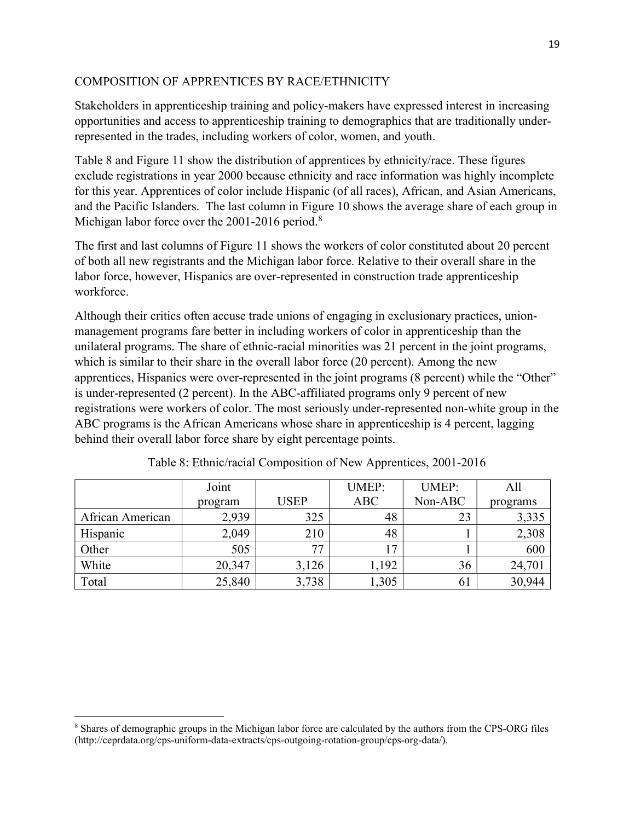# COMPOSITION OF APPRENTICES BY RACE/ETHNICITY

Stakeholders in apprenticeship training and policy-makers have expressed interest in increasing opportunities and access to apprenticeship training to demographics that are traditionally underrepresented in the trades, including workers of color, women, and youth.

Table 8 and Figure 11 show the distribution of apprentices by ethnicity/race. These figures exclude registrations in year 2000 because ethnicity and race information was highly incomplete for this year. Apprentices of color include Hispanic (of all races), African, and Asian Americans, and the Pacific Islanders. The last column in Figure 10 shows the average share of each group in Michigan labor force over the 2001-2016 period.<sup>8</sup>

The first and last columns of Figure 11 shows the workers of color constituted about 20 percent of both all new registrants and the Michigan labor force. Relative to their overall share in the labor force, however, Hispanics are over-represented in construction trade apprenticeship workforce.

Although their critics often accuse trade unions of engaging in exclusionary practices, unionmanagement programs fare better in including workers of color in apprenticeship than the unilateral programs. The share of ethnic-racial minorities was 21 percent in the joint programs, which is similar to their share in the overall labor force (20 percent). Among the new apprentices, Hispanics were over-represented in the joint programs (8 percent) while the "Other" is under-represented (2 percent). In the ABC-affiliated programs only 9 percent of new registrations were workers of color. The most seriously under-represented non-white group in the ABC programs is the African Americans whose share in apprenticeship is 4 percent, lagging behind their overall labor force share by eight percentage points.

|                  | Joint   |             | <b>UMEP:</b> | <b>UMEP:</b> | All      |
|------------------|---------|-------------|--------------|--------------|----------|
|                  | program | <b>USEP</b> | <b>ABC</b>   | Non-ABC      | programs |
| African American | 2,939   | 325         | 48           | 23           | 3,335    |
| Hispanic         | 2,049   | 210         | 48           |              | 2,308    |
| Other            | 505     | 77          | $\tau$       |              | 600      |
| White            | 20,347  | 3,126       | 1,192        | 36           | 24,701   |
| Total            | 25,840  | 3,738       | ,305         | 0 I          | 30,944   |

Table 8: Ethnic/racial Composition of New Apprentices, 2001-2016

<sup>&</sup>lt;sup>8</sup> Shares of demographic groups in the Michigan labor force are calculated by the authors from the CPS-ORG files (http://ceprdata.org/cps-uniform-data-extracts/cps-outgoing-rotation-group/cps-org-data/).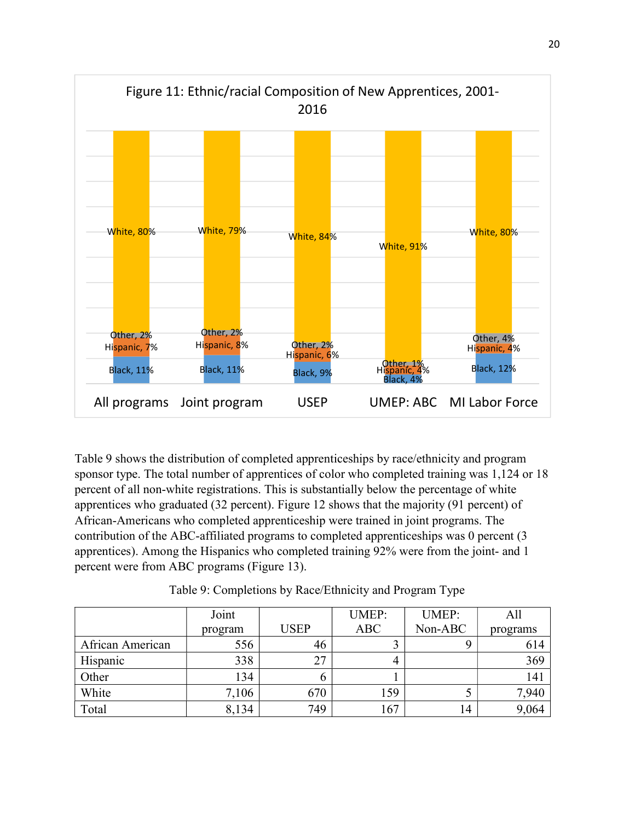

Table 9 shows the distribution of completed apprenticeships by race/ethnicity and program sponsor type. The total number of apprentices of color who completed training was 1,124 or 18 percent of all non-white registrations. This is substantially below the percentage of white apprentices who graduated (32 percent). Figure 12 shows that the majority (91 percent) of African-Americans who completed apprenticeship were trained in joint programs. The contribution of the ABC-affiliated programs to completed apprenticeships was 0 percent (3 apprentices). Among the Hispanics who completed training 92% were from the joint- and 1 percent were from ABC programs (Figure 13).

|                  | Joint   |             | <b>UMEP:</b> | <b>UMEP:</b> | All      |
|------------------|---------|-------------|--------------|--------------|----------|
|                  | program | <b>USEP</b> | ABC          | Non-ABC      | programs |
| African American | 556     | 46          |              |              | 614      |
| Hispanic         | 338     | 27          |              |              | 369      |
| Other            | 134     |             |              |              | 141      |
| White            | 7,106   | 670         | 159          |              | 7,940    |
| Total            | 8,134   | 749         | 167          | 14           | 9,064    |

Table 9: Completions by Race/Ethnicity and Program Type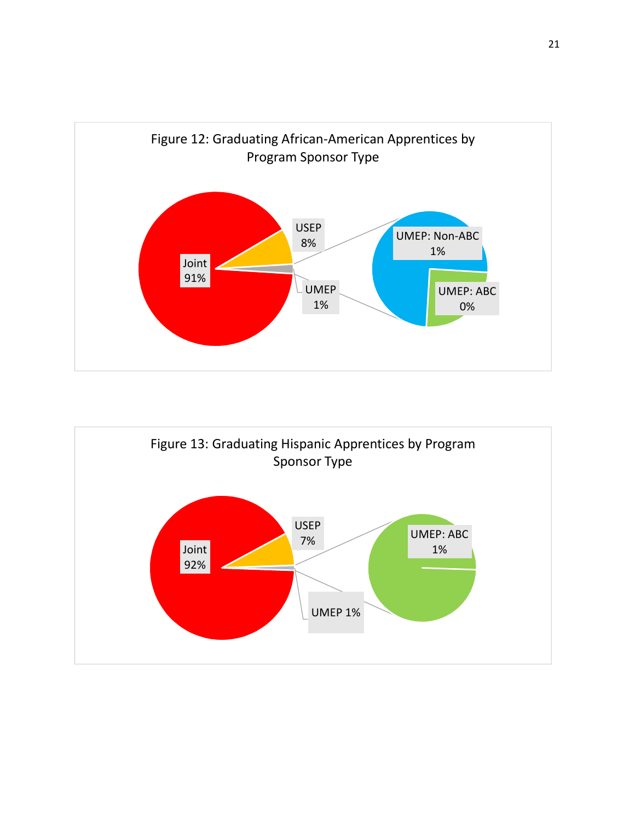

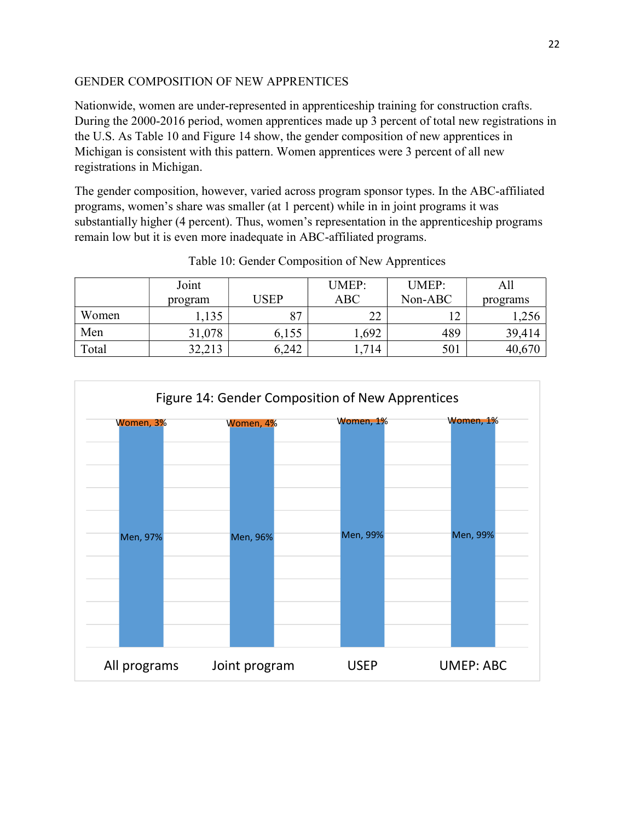# GENDER COMPOSITION OF NEW APPRENTICES

Nationwide, women are under-represented in apprenticeship training for construction crafts. During the 2000-2016 period, women apprentices made up 3 percent of total new registrations in the U.S. As Table 10 and Figure 14 show, the gender composition of new apprentices in Michigan is consistent with this pattern. Women apprentices were 3 percent of all new registrations in Michigan.

The gender composition, however, varied across program sponsor types. In the ABC-affiliated programs, women's share was smaller (at 1 percent) while in in joint programs it was substantially higher (4 percent). Thus, women's representation in the apprenticeship programs remain low but it is even more inadequate in ABC-affiliated programs.

|       | Joint   |                | <b>UMEP:</b>        | <b>UMEP:</b> | All      |
|-------|---------|----------------|---------------------|--------------|----------|
|       | program | USEP           | ABC                 | Non-ABC      | programs |
| Women | 1,135   | O <sub>7</sub> | $\mathcal{D}$<br>∠∠ | □            | 1,256    |
| Men   | 31,078  | 6,155          | ,692                | 489          | 39,414   |
| Total | 32,213  | 6,242          | 1,714               | 501          | 40,670   |

Table 10: Gender Composition of New Apprentices

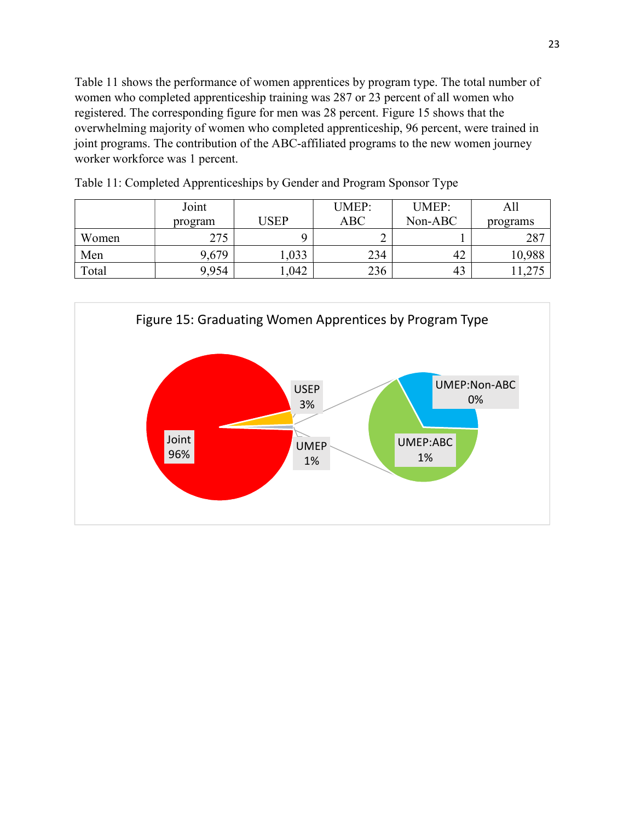Table 11 shows the performance of women apprentices by program type. The total number of women who completed apprenticeship training was 287 or 23 percent of all women who registered. The corresponding figure for men was 28 percent. Figure 15 shows that the overwhelming majority of women who completed apprenticeship, 96 percent, were trained in joint programs. The contribution of the ABC-affiliated programs to the new women journey worker workforce was 1 percent.

|       | Joint   |       | <b>UMEP:</b> | <b>UMEP:</b> | All      |
|-------|---------|-------|--------------|--------------|----------|
|       | program | USEP  | ABC          | $Non-ABC$    | programs |
| Women | 275     |       |              |              | 287      |
| Men   | 9,679   | 1,033 | 234          | 42           | 10,988   |
| Total | 9,954   | .042  | 236          | 43           | .1,275   |

Table 11: Completed Apprenticeships by Gender and Program Sponsor Type

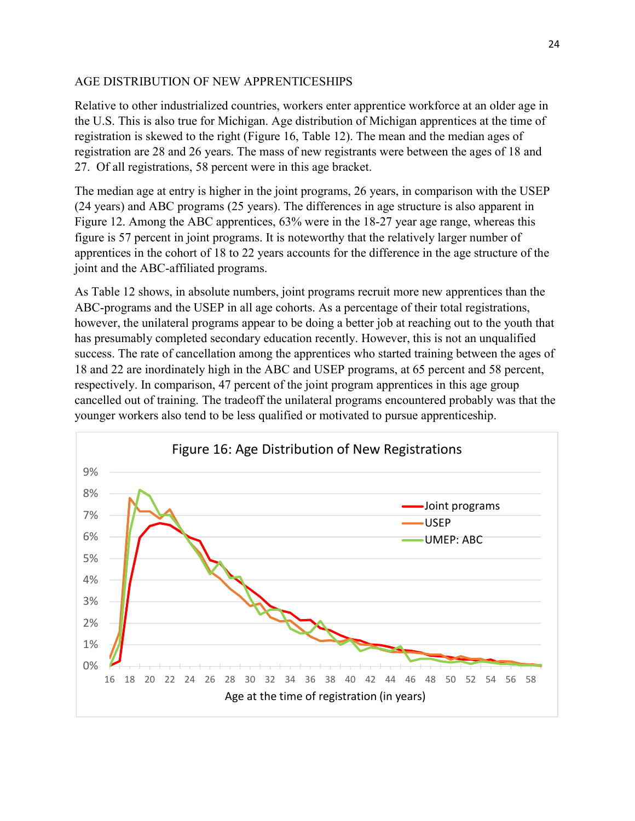## AGE DISTRIBUTION OF NEW APPRENTICESHIPS

Relative to other industrialized countries, workers enter apprentice workforce at an older age in the U.S. This is also true for Michigan. Age distribution of Michigan apprentices at the time of registration is skewed to the right (Figure 16, Table 12). The mean and the median ages of registration are 28 and 26 years. The mass of new registrants were between the ages of 18 and 27. Of all registrations, 58 percent were in this age bracket.

The median age at entry is higher in the joint programs, 26 years, in comparison with the USEP (24 years) and ABC programs (25 years). The differences in age structure is also apparent in Figure 12. Among the ABC apprentices, 63% were in the 18-27 year age range, whereas this figure is 57 percent in joint programs. It is noteworthy that the relatively larger number of apprentices in the cohort of 18 to 22 years accounts for the difference in the age structure of the joint and the ABC-affiliated programs.

As Table 12 shows, in absolute numbers, joint programs recruit more new apprentices than the ABC-programs and the USEP in all age cohorts. As a percentage of their total registrations, however, the unilateral programs appear to be doing a better job at reaching out to the youth that has presumably completed secondary education recently. However, this is not an unqualified success. The rate of cancellation among the apprentices who started training between the ages of 18 and 22 are inordinately high in the ABC and USEP programs, at 65 percent and 58 percent, respectively. In comparison, 47 percent of the joint program apprentices in this age group cancelled out of training. The tradeoff the unilateral programs encountered probably was that the younger workers also tend to be less qualified or motivated to pursue apprenticeship.

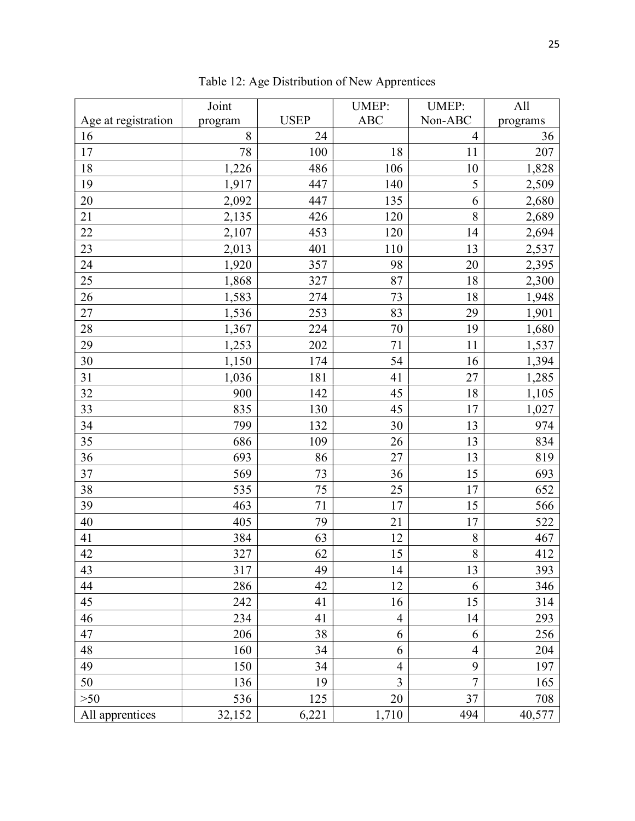|                     | Joint   |             | <b>UMEP:</b>             | <b>UMEP:</b>   | All      |
|---------------------|---------|-------------|--------------------------|----------------|----------|
| Age at registration | program | <b>USEP</b> | <b>ABC</b>               | Non-ABC        | programs |
| 16                  | 8       | 24          |                          | 4              | 36       |
| 17                  | 78      | 100         | 18                       | 11             | 207      |
| 18                  | 1,226   | 486         | 106                      | 10             | 1,828    |
| 19                  | 1,917   | 447         | 140                      | 5              | 2,509    |
| 20                  | 2,092   | 447         | 135                      | 6              | 2,680    |
| 21                  | 2,135   | 426         | 120                      | 8              | 2,689    |
| $22\,$              | 2,107   | 453         | 120                      | 14             | 2,694    |
| 23                  | 2,013   | 401         | 110                      | 13             | 2,537    |
| 24                  | 1,920   | 357         | 98                       | 20             | 2,395    |
| 25                  | 1,868   | 327         | 87                       | 18             | 2,300    |
| 26                  | 1,583   | 274         | 73                       | 18             | 1,948    |
| $27\,$              | 1,536   | 253         | 83                       | 29             | 1,901    |
| 28                  | 1,367   | 224         | 70                       | 19             | 1,680    |
| 29                  | 1,253   | 202         | 71                       | 11             | 1,537    |
| 30                  | 1,150   | 174         | 54                       | 16             | 1,394    |
| 31                  | 1,036   | 181         | 41                       | 27             | 1,285    |
| 32                  | 900     | 142         | 45                       | 18             | 1,105    |
| 33                  | 835     | 130         | 45                       | 17             | 1,027    |
| 34                  | 799     | 132         | 30                       | 13             | 974      |
| 35                  | 686     | 109         | 26                       | 13             | 834      |
| 36                  | 693     | 86          | 27                       | 13             | 819      |
| 37                  | 569     | 73          | 36                       | 15             | 693      |
| 38                  | 535     | 75          | 25                       | 17             | 652      |
| 39                  | 463     | $71\,$      | 17                       | 15             | 566      |
| 40                  | 405     | 79          | 21                       | 17             | 522      |
| 41                  | 384     | 63          | 12                       | 8              | 467      |
| 42                  | 327     | 62          | 15                       | 8              | 412      |
| 43                  | 317     | 49          | 14                       | 13             | 393      |
| 44                  | 286     | 42          | 12                       | 6              | 346      |
| 45                  | 242     | 41          | 16                       | 15             | 314      |
| 46                  | 234     | 41          | $\overline{\mathcal{A}}$ | 14             | 293      |
| 47                  | 206     | 38          | 6                        | 6              | 256      |
| 48                  | 160     | 34          | 6                        | $\overline{4}$ | 204      |
| 49                  | 150     | 34          | $\overline{4}$           | 9              | 197      |
| 50                  | 136     | 19          | $\overline{3}$           | $\overline{7}$ | 165      |
| $>50$               | 536     | 125         | 20                       | 37             | 708      |
| All apprentices     | 32,152  | 6,221       | 1,710                    | 494            | 40,577   |

Table 12: Age Distribution of New Apprentices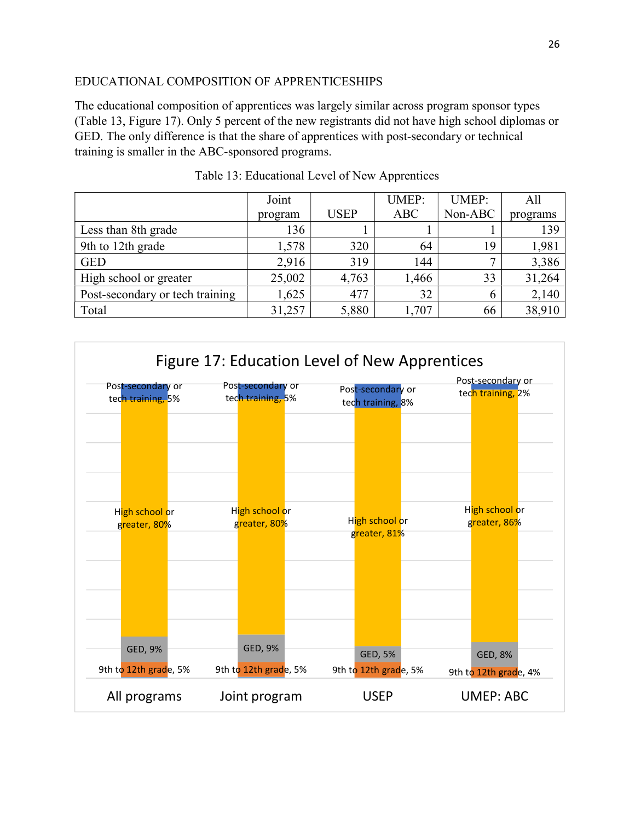## EDUCATIONAL COMPOSITION OF APPRENTICESHIPS

The educational composition of apprentices was largely similar across program sponsor types (Table 13, Figure 17). Only 5 percent of the new registrants did not have high school diplomas or GED. The only difference is that the share of apprentices with post-secondary or technical training is smaller in the ABC-sponsored programs.

|                                 | Joint   |             | <b>UMEP:</b> | <b>UMEP:</b> | All      |
|---------------------------------|---------|-------------|--------------|--------------|----------|
|                                 | program | <b>USEP</b> | <b>ABC</b>   | Non-ABC      | programs |
| Less than 8th grade             | 136     |             |              |              | 139      |
| 9th to 12th grade               | 1,578   | 320         | 64           | 19           | 1,981    |
| <b>GED</b>                      | 2,916   | 319         | 144          |              | 3,386    |
| High school or greater          | 25,002  | 4,763       | 1,466        | 33           | 31,264   |
| Post-secondary or tech training | 1,625   | 477         | 32           | 6            | 2,140    |
| Total                           | 31,257  | 5,880       | 1,707        | 66           | 38,910   |

Table 13: Educational Level of New Apprentices